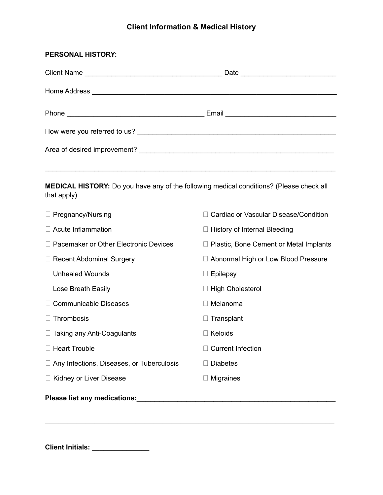## **Client Information & Medical History**

| <b>PERSONAL HISTORY:</b>                                                                                      |                                          |
|---------------------------------------------------------------------------------------------------------------|------------------------------------------|
|                                                                                                               |                                          |
|                                                                                                               |                                          |
|                                                                                                               |                                          |
|                                                                                                               |                                          |
|                                                                                                               |                                          |
|                                                                                                               |                                          |
| <b>MEDICAL HISTORY:</b> Do you have any of the following medical conditions? (Please check all<br>that apply) |                                          |
| $\Box$ Pregnancy/Nursing                                                                                      | Cardiac or Vascular Disease/Condition    |
| $\Box$ Acute Inflammation                                                                                     | $\Box$ History of Internal Bleeding      |
| □ Pacemaker or Other Electronic Devices                                                                       | □ Plastic, Bone Cement or Metal Implants |
| $\Box$ Recent Abdominal Surgery                                                                               | Abnormal High or Low Blood Pressure      |
| □ Unhealed Wounds                                                                                             | $\Box$ Epilepsy                          |
| □ Lose Breath Easily                                                                                          | □ High Cholesterol                       |
| □ Communicable Diseases                                                                                       | $\Box$ Melanoma                          |
| $\Box$ Thrombosis                                                                                             | $\Box$ Transplant                        |
| $\Box$ Taking any Anti-Coagulants                                                                             | $\Box$ Keloids                           |
| □ Heart Trouble                                                                                               | $\Box$ Current Infection                 |
| Any Infections, Diseases, or Tuberculosis                                                                     | $\Box$ Diabetes                          |
| □ Kidney or Liver Disease                                                                                     | $\Box$ Migraines                         |
| Please list any medications:<br><u>[</u> [11] Please list any medications:                                    |                                          |

**Client Initials:** \_\_\_\_\_\_\_\_\_\_\_\_\_\_\_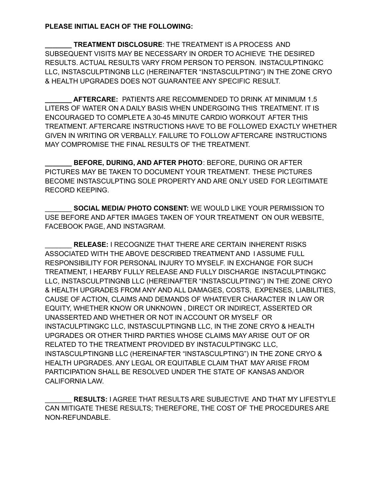## **PLEASE INITIAL EACH OF THE FOLLOWING:**

**\_\_\_\_\_\_\_ TREATMENT DISCLOSURE**: THE TREATMENT IS A PROCESS AND SUBSEQUENT VISITS MAY BE NECESSARY IN ORDER TO ACHIEVE THE DESIRED RESULTS. ACTUAL RESULTS VARY FROM PERSON TO PERSON. INSTACULPTINGKC LLC, INSTASCULPTINGNB LLC (HEREINAFTER "INSTASCULPTING") IN THE ZONE CRYO & HEALTH UPGRADES DOES NOT GUARANTEE ANY SPECIFIC RESULT.

**\_\_\_\_\_\_\_ AFTERCARE:** PATIENTS ARE RECOMMENDED TO DRINK AT MINIMUM 1.5 LITERS OF WATER ON A DAILY BASIS WHEN UNDERGOING THIS TREATMENT. IT IS ENCOURAGED TO COMPLETE A 30-45 MINUTE CARDIO WORKOUT AFTER THIS TREATMENT. AFTERCARE INSTRUCTIONS HAVE TO BE FOLLOWED EXACTLY WHETHER GIVEN IN WRITING OR VERBALLY. FAILURE TO FOLLOW AFTERCARE INSTRUCTIONS MAY COMPROMISE THE FINAL RESULTS OF THE TREATMENT.

**\_\_\_\_\_\_\_ BEFORE, DURING, AND AFTER PHOTO**: BEFORE, DURING OR AFTER PICTURES MAY BE TAKEN TO DOCUMENT YOUR TREATMENT. THESE PICTURES BECOME INSTASCULPTING SOLE PROPERTY AND ARE ONLY USED FOR LEGITIMATE RECORD KEEPING.

\_\_\_\_\_\_\_ **SOCIAL MEDIA/ PHOTO CONSENT:** WE WOULD LIKE YOUR PERMISSION TO USE BEFORE AND AFTER IMAGES TAKEN OF YOUR TREATMENT ON OUR WEBSITE, FACEBOOK PAGE, AND INSTAGRAM.

\_\_\_\_\_\_\_ **RELEASE:** I RECOGNIZE THAT THERE ARE CERTAIN INHERENT RISKS ASSOCIATED WITH THE ABOVE DESCRIBED TREATMENT AND I ASSUME FULL RESPONSIBILITY FOR PERSONAL INJURY TO MYSELF. IN EXCHANGE FOR SUCH TREATMENT, I HEARBY FULLY RELEASE AND FULLY DISCHARGE INSTACULPTINGKC LLC, INSTASCULPTINGNB LLC (HEREINAFTER "INSTASCULPTING") IN THE ZONE CRYO & HEALTH UPGRADES FROM ANY AND ALL DAMAGES, COSTS, EXPENSES, LIABILITIES, CAUSE OF ACTION, CLAIMS AND DEMANDS OF WHATEVER CHARACTER IN LAW OR EQUITY, WHETHER KNOW OR UNKNOWN , DIRECT OR INDIRECT, ASSERTED OR UNASSERTED AND WHETHER OR NOT IN ACCOUNT OR MYSELF OR INSTACULPTINGKC LLC, INSTASCULPTINGNB LLC, IN THE ZONE CRYO & HEALTH UPGRADES OR OTHER THIRD PARTIES WHOSE CLAIMS MAY ARISE OUT OF OR RELATED TO THE TREATMENT PROVIDED BY INSTACULPTINGKC LLC, INSTASCULPTINGNB LLC (HEREINAFTER "INSTASCULPTING") IN THE ZONE CRYO & HEALTH UPGRADES. ANY LEGAL OR EQUITABLE CLAIM THAT MAY ARISE FROM PARTICIPATION SHALL BE RESOLVED UNDER THE STATE OF KANSAS AND/OR CALIFORNIA LAW.

\_\_\_\_\_\_\_ **RESULTS:** I AGREE THAT RESULTS ARE SUBJECTIVE AND THAT MY LIFESTYLE CAN MITIGATE THESE RESULTS; THEREFORE, THE COST OF THE PROCEDURES ARE NON-REFUNDABLE.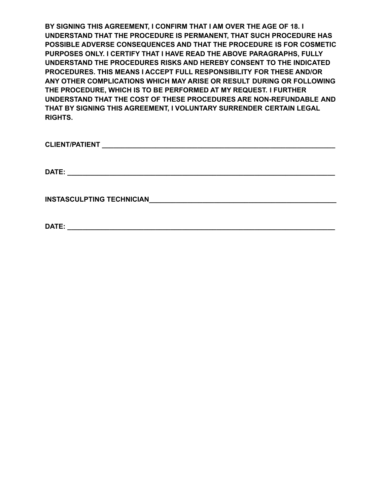**BY SIGNING THIS AGREEMENT, I CONFIRM THAT I AM OVER THE AGE OF 18. I UNDERSTAND THAT THE PROCEDURE IS PERMANENT, THAT SUCH PROCEDURE HAS POSSIBLE ADVERSE CONSEQUENCES AND THAT THE PROCEDURE IS FOR COSMETIC PURPOSES ONLY. I CERTIFY THAT I HAVE READ THE ABOVE PARAGRAPHS, FULLY UNDERSTAND THE PROCEDURES RISKS AND HEREBY CONSENT TO THE INDICATED PROCEDURES. THIS MEANS I ACCEPT FULL RESPONSIBILITY FOR THESE AND/OR ANY OTHER COMPLICATIONS WHICH MAY ARISE OR RESULT DURING OR FOLLOWING THE PROCEDURE, WHICH IS TO BE PERFORMED AT MY REQUEST. I FURTHER UNDERSTAND THAT THE COST OF THESE PROCEDURES ARE NON-REFUNDABLE AND THAT BY SIGNING THIS AGREEMENT, I VOLUNTARY SURRENDER CERTAIN LEGAL RIGHTS.**

**CLIENT/PATIENT** 

**DATE: \_\_\_\_\_\_\_\_\_\_\_\_\_\_\_\_\_\_\_\_\_\_\_\_\_\_\_\_\_\_\_\_\_\_\_\_\_\_\_\_\_\_\_\_\_\_\_\_\_\_\_\_\_\_\_\_\_\_\_\_\_\_\_\_\_\_\_\_\_\_**

**INSTASCULPTING TECHNICIAN\_\_\_\_\_\_\_\_\_\_\_\_\_\_\_\_\_\_\_\_\_\_\_\_\_\_\_\_\_\_\_\_\_\_\_\_\_\_\_\_\_\_\_\_\_\_\_\_\_**

**DATE: \_\_\_\_\_\_\_\_\_\_\_\_\_\_\_\_\_\_\_\_\_\_\_\_\_\_\_\_\_\_\_\_\_\_\_\_\_\_\_\_\_\_\_\_\_\_\_\_\_\_\_\_\_\_\_\_\_\_\_\_\_\_\_\_\_\_\_\_\_\_**